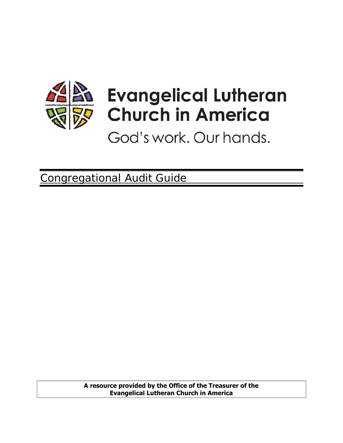

# **Evangelical Lutheran Church in America**

God's work. Our hands.

Congregational Audit Guide

**A resource provided by the Office of the Treasurer of the Evangelical Lutheran Church in America**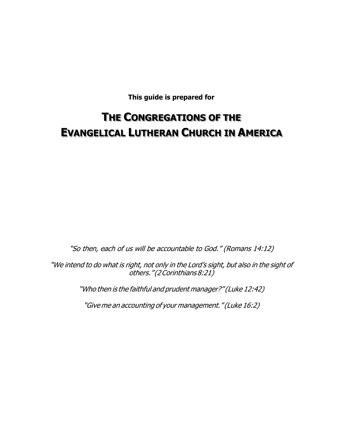**This guide is prepared for** 

# **THE CONGREGATIONS OF THE EVANGELICAL LUTHERAN CHURCH IN AMERICA**

"So then, each of us will be accountable to God." (Romans 14:12)

"We intend to do what is right, not only in the Lord's sight, but also in the sight of others." (2 Corinthians 8:21)

"Who then is the faithful and prudent manager?" (Luke 12:42)

"Give me an accounting of your management." (Luke 16:2)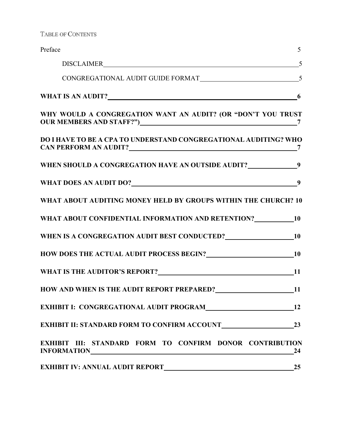TABLE OF CONTENTS

| Preface                                                                                                                                                                           | 5  |
|-----------------------------------------------------------------------------------------------------------------------------------------------------------------------------------|----|
|                                                                                                                                                                                   | 5  |
|                                                                                                                                                                                   |    |
| WHAT IS AN AUDIT? 6                                                                                                                                                               |    |
| WHY WOULD A CONGREGATION WANT AN AUDIT? (OR "DON'T YOU TRUST                                                                                                                      |    |
| DO I HAVE TO BE A CPA TO UNDERSTAND CONGREGATIONAL AUDITING? WHO                                                                                                                  |    |
| WHEN SHOULD A CONGREGATION HAVE AN OUTSIDE AUDIT?<br>9                                                                                                                            |    |
|                                                                                                                                                                                   |    |
| WHAT ABOUT AUDITING MONEY HELD BY GROUPS WITHIN THE CHURCH? 10                                                                                                                    |    |
| WHAT ABOUT CONFIDENTIAL INFORMATION AND RETENTION? 10                                                                                                                             |    |
| WHEN IS A CONGREGATION AUDIT BEST CONDUCTED? 10                                                                                                                                   |    |
| HOW DOES THE ACTUAL AUDIT PROCESS BEGIN? 10                                                                                                                                       |    |
|                                                                                                                                                                                   |    |
| HOW AND WHEN IS THE AUDIT REPORT PREPARED? 11                                                                                                                                     |    |
|                                                                                                                                                                                   | 12 |
|                                                                                                                                                                                   |    |
| <b>EXHIBIT III: STANDARD FORM TO CONFIRM DONOR CONTRIBUTION</b><br>INFORMATIONNALLY AND ALL AND THE CONTROL CONTROL CONTROL CONTROL CONTROL CONTROL CONTROL CONTROL CONTROL CONTR | 24 |
|                                                                                                                                                                                   | 25 |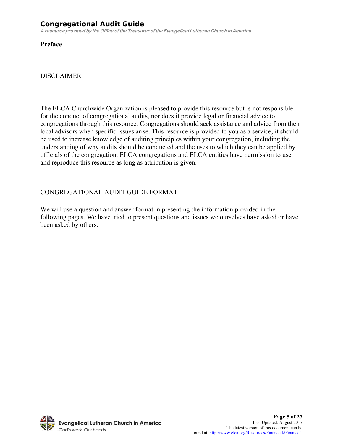**Preface** 

#### DISCLAIMER

The ELCA Churchwide Organization is pleased to provide this resource but is not responsible for the conduct of congregational audits, nor does it provide legal or financial advice to congregations through this resource. Congregations should seek assistance and advice from their local advisors when specific issues arise. This resource is provided to you as a service; it should be used to increase knowledge of auditing principles within your congregation, including the understanding of why audits should be conducted and the uses to which they can be applied by officials of the congregation. ELCA congregations and ELCA entities have permission to use and reproduce this resource as long as attribution is given.

#### CONGREGATIONAL AUDIT GUIDE FORMAT

We will use a question and answer format in presenting the information provided in the following pages. We have tried to present questions and issues we ourselves have asked or have been asked by others.

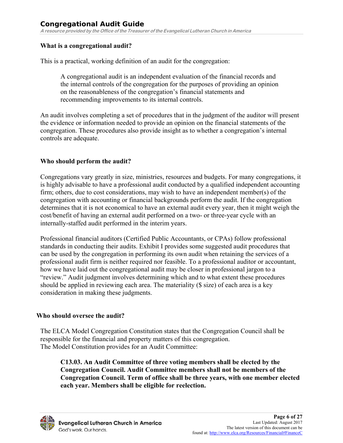#### **What is a congregational audit?**

This is a practical, working definition of an audit for the congregation:

A congregational audit is an independent evaluation of the financial records and the internal controls of the congregation for the purposes of providing an opinion on the reasonableness of the congregation's financial statements and recommending improvements to its internal controls.

An audit involves completing a set of procedures that in the judgment of the auditor will present the evidence or information needed to provide an opinion on the financial statements of the congregation. These procedures also provide insight as to whether a congregation's internal controls are adequate.

#### **Who should perform the audit?**

Congregations vary greatly in size, ministries, resources and budgets. For many congregations, it is highly advisable to have a professional audit conducted by a qualified independent accounting firm; others, due to cost considerations, may wish to have an independent member(s) of the congregation with accounting or financial backgrounds perform the audit. If the congregation determines that it is not economical to have an external audit every year, then it might weigh the cost/benefit of having an external audit performed on a two- or three-year cycle with an internally-staffed audit performed in the interim years.

Professional financial auditors (Certified Public Accountants, or CPAs) follow professional standards in conducting their audits. Exhibit I provides some suggested audit procedures that can be used by the congregation in performing its own audit when retaining the services of a professional audit firm is neither required nor feasible. To a professional auditor or accountant, how we have laid out the congregational audit may be closer in professional jargon to a "review." Audit judgment involves determining which and to what extent these procedures should be applied in reviewing each area. The materiality (\$ size) of each area is a key consideration in making these judgments.

#### **Who should oversee the audit?**

The ELCA Model Congregation Constitution states that the Congregation Council shall be responsible for the financial and property matters of this congregation. The Model Constitution provides for an Audit Committee:

**C13.03. An Audit Committee of three voting members shall be elected by the Congregation Council. Audit Committee members shall not be members of the Congregation Council. Term of office shall be three years, with one member elected each year. Members shall be eligible for reelection.** 

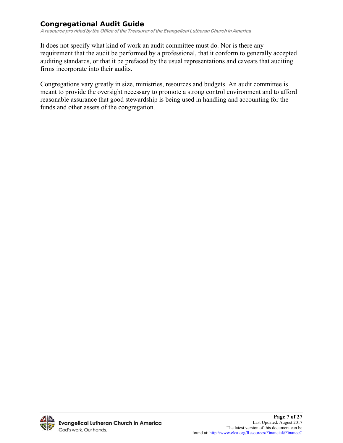It does not specify what kind of work an audit committee must do. Nor is there any requirement that the audit be performed by a professional, that it conform to generally accepted auditing standards, or that it be prefaced by the usual representations and caveats that auditing firms incorporate into their audits.

Congregations vary greatly in size, ministries, resources and budgets. An audit committee is meant to provide the oversight necessary to promote a strong control environment and to afford reasonable assurance that good stewardship is being used in handling and accounting for the funds and other assets of the congregation.

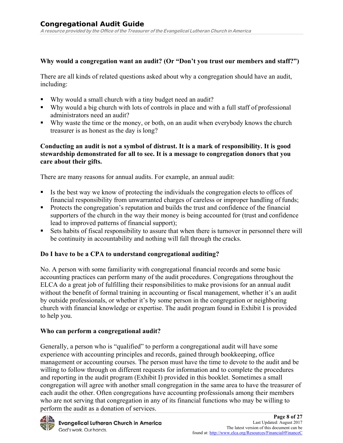#### **Why would a congregation want an audit? (Or "Don't you trust our members and staff?")**

There are all kinds of related questions asked about why a congregation should have an audit, including:

- Why would a small church with a tiny budget need an audit?
- Why would a big church with lots of controls in place and with a full staff of professional administrators need an audit?
- Why waste the time or the money, or both, on an audit when everybody knows the church treasurer is as honest as the day is long?

#### **Conducting an audit is not a symbol of distrust. It is a mark of responsibility. It is good stewardship demonstrated for all to see. It is a message to congregation donors that you care about their gifts.**

There are many reasons for annual audits. For example, an annual audit:

- If Its the best way we know of protecting the individuals the congregation elects to offices of financial responsibility from unwarranted charges of careless or improper handling of funds;
- Protects the congregation's reputation and builds the trust and confidence of the financial supporters of the church in the way their money is being accounted for (trust and confidence lead to improved patterns of financial support);
- Sets habits of fiscal responsibility to assure that when there is turnover in personnel there will be continuity in accountability and nothing will fall through the cracks.

#### **Do I have to be a CPA to understand congregational auditing?**

No. A person with some familiarity with congregational financial records and some basic accounting practices can perform many of the audit procedures. Congregations throughout the ELCA do a great job of fulfilling their responsibilities to make provisions for an annual audit without the benefit of formal training in accounting or fiscal management, whether it's an audit by outside professionals, or whether it's by some person in the congregation or neighboring church with financial knowledge or expertise. The audit program found in Exhibit I is provided to help you.

#### **Who can perform a congregational audit?**

Generally, a person who is "qualified" to perform a congregational audit will have some experience with accounting principles and records, gained through bookkeeping, office management or accounting courses. The person must have the time to devote to the audit and be willing to follow through on different requests for information and to complete the procedures and reporting in the audit program (Exhibit I) provided in this booklet. Sometimes a small congregation will agree with another small congregation in the same area to have the treasurer of each audit the other. Often congregations have accounting professionals among their members who are not serving that congregation in any of its financial functions who may be willing to perform the audit as a donation of services.

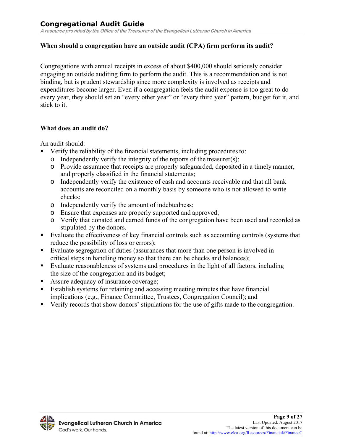#### **When should a congregation have an outside audit (CPA) firm perform its audit?**

Congregations with annual receipts in excess of about \$400,000 should seriously consider engaging an outside auditing firm to perform the audit. This is a recommendation and is not binding, but is prudent stewardship since more complexity is involved as receipts and expenditures become larger. Even if a congregation feels the audit expense is too great to do every year, they should set an "every other year" or "every third year" pattern, budget for it, and stick to it.

#### **What does an audit do?**

An audit should:

- Verify the reliability of the financial statements, including procedures to:
	- o Independently verify the integrity of the reports of the treasurer(s);
	- o Provide assurance that receipts are properly safeguarded, deposited in a timely manner, and properly classified in the financial statements;
	- o Independently verify the existence of cash and accounts receivable and that all bank accounts are reconciled on a monthly basis by someone who is not allowed to write checks;
	- o Independently verify the amount of indebtedness;
	- o Ensure that expenses are properly supported and approved;
	- o Verify that donated and earned funds of the congregation have been used and recorded as stipulated by the donors.
- Evaluate the effectiveness of key financial controls such as accounting controls (systems that reduce the possibility of loss or errors);
- Evaluate segregation of duties (assurances that more than one person is involved in critical steps in handling money so that there can be checks and balances);
- Evaluate reasonableness of systems and procedures in the light of all factors, including the size of the congregation and its budget;
- Assure adequacy of insurance coverage;
- Establish systems for retaining and accessing meeting minutes that have financial implications (e.g., Finance Committee, Trustees, Congregation Council); and
- Verify records that show donors' stipulations for the use of gifts made to the congregation.

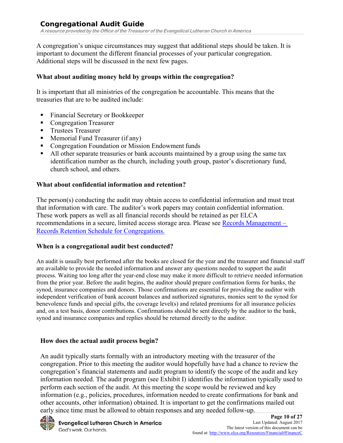A congregation's unique circumstances may suggest that additional steps should be taken. It is important to document the different financial processes of your particular congregation. Additional steps will be discussed in the next few pages.

#### **What about auditing money held by groups within the congregation?**

It is important that all ministries of the congregation be accountable. This means that the treasuries that are to be audited include:

- Financial Secretary or Bookkeeper
- **Congregation Treasurer**
- Trustees Treasurer
- **Memorial Fund Treasurer (if any)**
- **Congregation Foundation or Mission Endowment funds**
- All other separate treasuries or bank accounts maintained by a group using the same tax identification number as the church, including youth group, pastor's discretionary fund, church school, and others.

## **What about confidential information and retention?**

The person(s) conducting the audit may obtain access to confidential information and must treat that information with care. The auditor's work papers may contain confidential information. These work papers as well as all financial records should be retained as per ELCA recommendations in a secure, limited access storage area. Please see Records Management – Records Retention Schedule for Congregations.

#### **When is a congregational audit best conducted?**

An audit is usually best performed after the books are closed for the year and the treasurer and financial staff are available to provide the needed information and answer any questions needed to support the audit process. Waiting too long after the year-end close may make it more difficult to retrieve needed information from the prior year. Before the audit begins, the auditor should prepare confirmation forms for banks, the synod, insurance companies and donors. Those confirmations are essential for providing the auditor with independent verification of bank account balances and authorized signatures, monies sent to the synod for benevolence funds and special gifts, the coverage level(s) and related premiums for all insurance policies and, on a test basis, donor contributions. Confirmations should be sent directly by the auditor to the bank, synod and insurance companies and replies should be returned directly to the auditor.

# **How does the actual audit process begin?**

An audit typically starts formally with an introductory meeting with the treasurer of the congregation. Prior to this meeting the auditor would hopefully have had a chance to review the congregation's financial statements and audit program to identify the scope of the audit and key information needed. The audit program (see Exhibit I) identifies the information typically used to perform each section of the audit. At this meeting the scope would be reviewed and key information (e.g., policies, procedures, information needed to create confirmations for bank and other accounts, other information) obtained. It is important to get the confirmations mailed out early since time must be allowed to obtain responses and any needed follow-up.

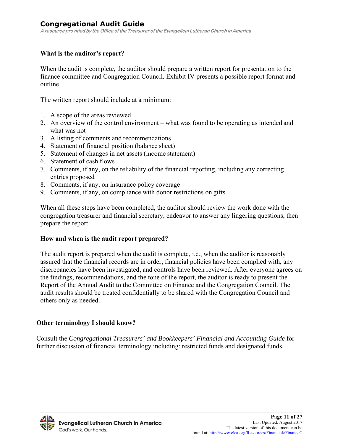#### **What is the auditor's report?**

When the audit is complete, the auditor should prepare a written report for presentation to the finance committee and Congregation Council. Exhibit IV presents a possible report format and outline.

The written report should include at a minimum:

- 1. A scope of the areas reviewed
- 2. An overview of the control environment what was found to be operating as intended and what was not
- 3. A listing of comments and recommendations
- 4. Statement of financial position (balance sheet)
- 5. Statement of changes in net assets (income statement)
- 6. Statement of cash flows
- 7. Comments, if any, on the reliability of the financial reporting, including any correcting entries proposed
- 8. Comments, if any, on insurance policy coverage
- 9. Comments, if any, on compliance with donor restrictions on gifts

When all these steps have been completed, the auditor should review the work done with the congregation treasurer and financial secretary, endeavor to answer any lingering questions, then prepare the report.

#### **How and when is the audit report prepared?**

The audit report is prepared when the audit is complete, i.e., when the auditor is reasonably assured that the financial records are in order, financial policies have been complied with, any discrepancies have been investigated, and controls have been reviewed. After everyone agrees on the findings, recommendations, and the tone of the report, the auditor is ready to present the Report of the Annual Audit to the Committee on Finance and the Congregation Council. The audit results should be treated confidentially to be shared with the Congregation Council and others only as needed.

#### **Other terminology I should know?**

Consult the *Congregational Treasurers' and Bookkeepers' Financial and Accounting Guide* for further discussion of financial terminology including: restricted funds and designated funds.

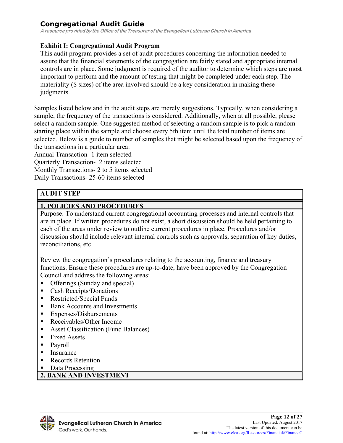**A resource provided by the Office of the Treasurer of the Evangelical Lutheran Church in America**

#### **Exhibit I: Congregational Audit Program**

This audit program provides a set of audit procedures concerning the information needed to assure that the financial statements of the congregation are fairly stated and appropriate internal controls are in place. Some judgment is required of the auditor to determine which steps are most important to perform and the amount of testing that might be completed under each step. The materiality (\$ sizes) of the area involved should be a key consideration in making these judgments.

Samples listed below and in the audit steps are merely suggestions. Typically, when considering a sample, the frequency of the transactions is considered. Additionally, when at all possible, please select a random sample. One suggested method of selecting a random sample is to pick a random starting place within the sample and choose every 5th item until the total number of items are selected. Below is a guide to number of samples that might be selected based upon the frequency of the transactions in a particular area:

Annual Transaction- 1 item selected Quarterly Transaction- 2 items selected Monthly Transactions- 2 to 5 items selected Daily Transactions- 25-60 items selected

# **AUDIT STEP**

#### **1. POLICIES AND PROCEDURES**

Purpose: To understand current congregational accounting processes and internal controls that are in place. If written procedures do not exist, a short discussion should be held pertaining to each of the areas under review to outline current procedures in place. Procedures and/or discussion should include relevant internal controls such as approvals, separation of key duties, reconciliations, etc.

Review the congregation's procedures relating to the accounting, finance and treasury functions. Ensure these procedures are up-to-date, have been approved by the Congregation Council and address the following areas:

- Offerings (Sunday and special)
- Cash Receipts/Donations
- Restricted/Special Funds
- Bank Accounts and Investments
- Expenses/Disbursements
- Receivables/Other Income
- Asset Classification (Fund Balances)
- Fixed Assets
- **Payroll**
- **I**nsurance
- Records Retention
- Data Processing

#### **2. BANK AND INVESTMENT**

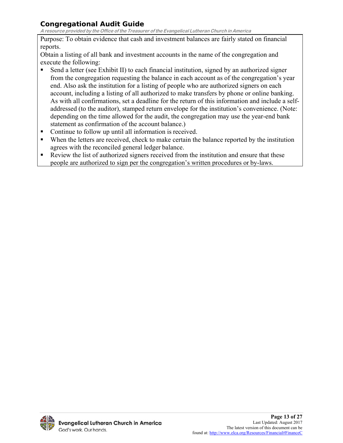**A resource provided by the Office of the Treasurer of the Evangelical Lutheran Church in America**

Purpose: To obtain evidence that cash and investment balances are fairly stated on financial reports.

Obtain a listing of all bank and investment accounts in the name of the congregation and execute the following:

- Send a letter (see Exhibit II) to each financial institution, signed by an authorized signer from the congregation requesting the balance in each account as of the congregation's year end. Also ask the institution for a listing of people who are authorized signers on each account, including a listing of all authorized to make transfers by phone or online banking. As with all confirmations, set a deadline for the return of this information and include a selfaddressed (to the auditor), stamped return envelope for the institution's convenience. (Note: depending on the time allowed for the audit, the congregation may use the year-end bank statement as confirmation of the account balance.)
- Continue to follow up until all information is received.
- When the letters are received, check to make certain the balance reported by the institution agrees with the reconciled general ledger balance.
- Review the list of authorized signers received from the institution and ensure that these people are authorized to sign per the congregation's written procedures or by-laws.

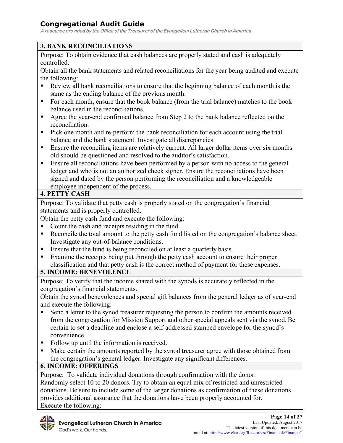**A resource provided by the Office of the Treasurer of the Evangelical Lutheran Church in America**

# **3. BANK RECONCILIATIONS**

Purpose: To obtain evidence that cash balances are properly stated and cash is adequately controlled.

Obtain all the bank statements and related reconciliations for the year being audited and execute the following:

- Review all bank reconciliations to ensure that the beginning balance of each month is the same as the ending balance of the previous month.
- For each month, ensure that the book balance (from the trial balance) matches to the book balance used in the reconciliations.
- Agree the year-end confirmed balance from Step 2 to the bank balance reflected on the reconciliation.
- Pick one month and re-perform the bank reconciliation for each account using the trial balance and the bank statement. Investigate all discrepancies.
- Ensure the reconciling items are relatively current. All larger dollar items over six months old should be questioned and resolved to the auditor's satisfaction.
- **Ensure all reconciliations have been performed by a person with no access to the general** ledger and who is not an authorized check signer. Ensure the reconciliations have been signed and dated by the person performing the reconciliation and a knowledgeable employee independent of the process.

# **4. PETTY CASH**

Purpose: To validate that petty cash is properly stated on the congregation's financial statements and is properly controlled.

Obtain the petty cash fund and execute the following:

- Count the cash and receipts residing in the fund.
- Reconcile the total amount to the petty cash fund listed on the congregation's balance sheet. Investigate any out-of-balance conditions.
- Ensure that the fund is being reconciled on at least a quarterly basis.
- Examine the receipts being put through the petty cash account to ensure their proper classification and that petty cash is the correct method of payment for these expenses.

# **5. INCOME: BENEVOLENCE**

Purpose: To verify that the income shared with the synods is accurately reflected in the congregation's financial statements.

Obtain the synod benevolences and special gift balances from the general ledger as of year-end and execute the following:

- Send a letter to the synod treasurer requesting the person to confirm the amounts received from the congregation for Mission Support and other special appeals sent via the synod. Be certain to set a deadline and enclose a self-addressed stamped envelope for the synod's convenience.
- Follow up until the information is received.
- Make certain the amounts reported by the synod treasurer agree with those obtained from the congregation's general ledger. Investigate any significant differences.

# **6. INCOME: OFFERINGS**

Purpose: To validate individual donations through confirmation with the donor. Randomly select 10 to 20 donors. Try to obtain an equal mix of restricted and unrestricted donations. Be sure to include some of the larger donations as confirmation of these donations provides additional assurance that the donations have been properly accounted for. Execute the following:

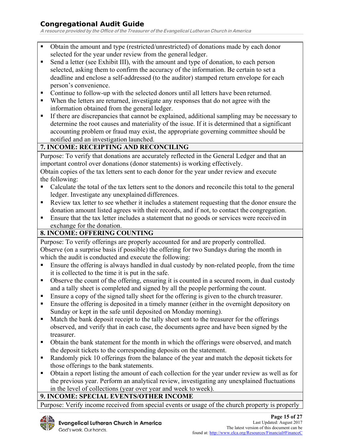**A resource provided by the Office of the Treasurer of the Evangelical Lutheran Church in America**

- Obtain the amount and type (restricted/unrestricted) of donations made by each donor selected for the year under review from the general ledger.
- Send a letter (see Exhibit III), with the amount and type of donation, to each person selected, asking them to confirm the accuracy of the information. Be certain to set a deadline and enclose a self-addressed (to the auditor) stamped return envelope for each person's convenience.
- Continue to follow-up with the selected donors until all letters have been returned.
- When the letters are returned, investigate any responses that do not agree with the information obtained from the general ledger.
- If there are discrepancies that cannot be explained, additional sampling may be necessary to determine the root causes and materiality of the issue. If it is determined that a significant accounting problem or fraud may exist, the appropriate governing committee should be notified and an investigation launched.

## **7. INCOME: RECEIPTING AND RECONCILING**

Purpose: To verify that donations are accurately reflected in the General Ledger and that an important control over donations (donor statements) is working effectively.

Obtain copies of the tax letters sent to each donor for the year under review and execute the following:

- Calculate the total of the tax letters sent to the donors and reconcile this total to the general ledger. Investigate any unexplained differences.
- Review tax letter to see whether it includes a statement requesting that the donor ensure the donation amount listed agrees with their records, and if not, to contact the congregation.
- Ensure that the tax letter includes a statement that no goods or services were received in exchange for the donation.

#### **8. INCOME: OFFERING COUNTING**

Purpose: To verify offerings are properly accounted for and are properly controlled. Observe (on a surprise basis if possible) the offering for two Sundays during the month in which the audit is conducted and execute the following:

- Ensure the offering is always handled in dual custody by non-related people, from the time it is collected to the time it is put in the safe.
- Observe the count of the offering, ensuring it is counted in a secured room, in dual custody and a tally sheet is completed and signed by all the people performing the count.
- Ensure a copy of the signed tally sheet for the offering is given to the church treasurer.
- Ensure the offering is deposited in a timely manner (either in the overnight depository on Sunday or kept in the safe until deposited on Monday morning).
- Match the bank deposit receipt to the tally sheet sent to the treasurer for the offerings observed, and verify that in each case, the documents agree and have been signed by the treasurer.
- Obtain the bank statement for the month in which the offerings were observed, and match the deposit tickets to the corresponding deposits on the statement.
- Randomly pick 10 offerings from the balance of the year and match the deposit tickets for those offerings to the bank statements.
- Obtain a report listing the amount of each collection for the year under review as well as for the previous year. Perform an analytical review, investigating any unexplained fluctuations in the level of collections (year over year and week to week).

#### **9. INCOME: SPECIAL EVENTS/OTHER INCOME**

Purpose: Verify income received from special events or usage of the church property is properly

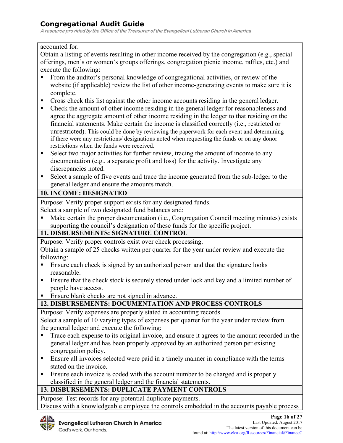**A resource provided by the Office of the Treasurer of the Evangelical Lutheran Church in America**

#### accounted for.

Obtain a listing of events resulting in other income received by the congregation (e.g., special offerings, men's or women's groups offerings, congregation picnic income, raffles, etc.) and execute the following:

- From the auditor's personal knowledge of congregational activities, or review of the website (if applicable) review the list of other income-generating events to make sure it is complete.
- **Cross check this list against the other income accounts residing in the general ledger.**
- Check the amount of other income residing in the general ledger for reasonableness and agree the aggregate amount of other income residing in the ledger to that residing on the financial statements. Make certain the income is classified correctly (i.e., restricted or unrestricted). This could be done by reviewing the paperwork for each event and determining if there were any restrictions/ designations noted when requesting the funds or on any donor restrictions when the funds were received.
- Select two major activities for further review, tracing the amount of income to any documentation (e.g., a separate profit and loss) for the activity. Investigate any discrepancies noted.
- Select a sample of five events and trace the income generated from the sub-ledger to the general ledger and ensure the amounts match.

# **10. INCOME: DESIGNATED**

Purpose: Verify proper support exists for any designated funds.

Select a sample of two designated fund balances and:

 Make certain the proper documentation (i.e., Congregation Council meeting minutes) exists supporting the council's designation of these funds for the specific project.

#### **11. DISBURSEMENTS: SIGNATURE CONTROL**

Purpose: Verify proper controls exist over check processing.

Obtain a sample of 25 checks written per quarter for the year under review and execute the following:

- Ensure each check is signed by an authorized person and that the signature looks reasonable.
- **Ensure that the check stock is securely stored under lock and key and a limited number of** people have access.
- Ensure blank checks are not signed in advance.

# **12. DISBURSEMENTS: DOCUMENTATION AND PROCESS CONTROLS**

Purpose: Verify expenses are properly stated in accounting records.

Select a sample of 10 varying types of expenses per quarter for the year under review from the general ledger and execute the following:

- Trace each expense to its original invoice, and ensure it agrees to the amount recorded in the general ledger and has been properly approved by an authorized person per existing congregation policy.
- **Ensure all invoices selected were paid in a timely manner in compliance with the terms** stated on the invoice.
- Ensure each invoice is coded with the account number to be charged and is properly classified in the general ledger and the financial statements.

# **13. DISBURSEMENTS: DUPLICATE PAYMENT CONTROLS**

Purpose: Test records for any potential duplicate payments. Discuss with a knowledgeable employee the controls embedded in the accounts payable process

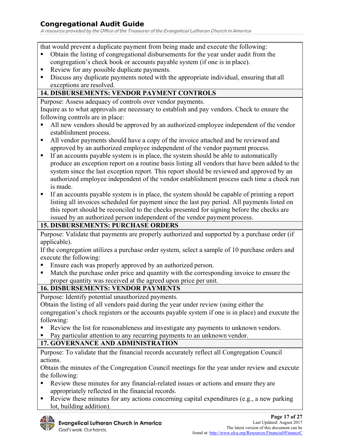**A resource provided by the Office of the Treasurer of the Evangelical Lutheran Church in America**

that would prevent a duplicate payment from being made and execute the following:

- Obtain the listing of congregational disbursements for the year under audit from the congregation's check book or accounts payable system (if one is in place).
- Review for any possible duplicate payments.
- Discuss any duplicate payments noted with the appropriate individual, ensuring that all exceptions are resolved.

#### **14. DISBURSEMENTS: VENDOR PAYMENT CONTROLS**

Purpose: Assess adequacy of controls over vendor payments.

Inquire as to what approvals are necessary to establish and pay vendors. Check to ensure the following controls are in place:

- All new vendors should be approved by an authorized employee independent of the vendor establishment process.
- All vendor payments should have a copy of the invoice attached and be reviewed and approved by an authorized employee independent of the vendor payment process.
- If an accounts payable system is in place, the system should be able to automatically produce an exception report on a routine basis listing all vendors that have been added to the system since the last exception report. This report should be reviewed and approved by an authorized employee independent of the vendor establishment process each time a check run is made.
- If an accounts payable system is in place, the system should be capable of printing a report listing all invoices scheduled for payment since the last pay period. All payments listed on this report should be reconciled to the checks presented for signing before the checks are issued by an authorized person independent of the vendor payment process.

#### **15. DISBURSEMENTS: PURCHASE ORDERS**

Purpose: Validate that payments are properly authorized and supported by a purchase order (if applicable).

If the congregation utilizes a purchase order system, select a sample of 10 purchase orders and execute the following:

- Ensure each was properly approved by an authorized person.
- Match the purchase order price and quantity with the corresponding invoice to ensure the proper quantity was received at the agreed upon price per unit.

#### **16. DISBURSEMENTS: VENDOR PAYMENTS**

Purpose: Identify potential unauthorized payments.

Obtain the listing of all vendors paid during the year under review (using either the congregation's check registers or the accounts payable system if one is in place) and execute the following:

- Review the list for reasonableness and investigate any payments to unknown vendors.
- Pay particular attention to any recurring payments to an unknown vendor.

#### **17. GOVERNANCE AND ADMINISTRATION**

Purpose: To validate that the financial records accurately reflect all Congregation Council actions.

Obtain the minutes of the Congregation Council meetings for the year under review and execute the following:

- Review these minutes for any financial-related issues or actions and ensure they are appropriately reflected in the financial records.
- Review these minutes for any actions concerning capital expenditures (e.g., a new parking lot, building addition).

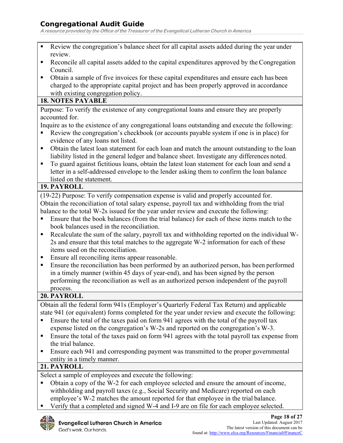**A resource provided by the Office of the Treasurer of the Evangelical Lutheran Church in America**

- Review the congregation's balance sheet for all capital assets added during the year under review.
- Reconcile all capital assets added to the capital expenditures approved by the Congregation Council.
- Obtain a sample of five invoices for these capital expenditures and ensure each has been charged to the appropriate capital project and has been properly approved in accordance with existing congregation policy.

#### **18. NOTES PAYABLE**

Purpose: To verify the existence of any congregational loans and ensure they are properly accounted for.

Inquire as to the existence of any congregational loans outstanding and execute the following:

- Review the congregation's checkbook (or accounts payable system if one is in place) for evidence of any loans not listed.
- Obtain the latest loan statement for each loan and match the amount outstanding to the loan liability listed in the general ledger and balance sheet. Investigate any differences noted.
- To guard against fictitious loans, obtain the latest loan statement for each loan and send a letter in a self-addressed envelope to the lender asking them to confirm the loan balance listed on the statement.

#### **19. PAYROLL**

(19-22) Purpose: To verify compensation expense is valid and properly accounted for. Obtain the reconciliation of total salary expense, payroll tax and withholding from the trial balance to the total W-2s issued for the year under review and execute the following:

- Ensure that the book balances (from the trial balance) for each of these items match to the book balances used in the reconciliation.
- Recalculate the sum of the salary, payroll tax and withholding reported on the individual W-2s and ensure that this total matches to the aggregate W-2 information for each of these items used on the reconciliation.
- Ensure all reconciling items appear reasonable.
- Ensure the reconciliation has been performed by an authorized person, has been performed in a timely manner (within 45 days of year-end), and has been signed by the person performing the reconciliation as well as an authorized person independent of the payroll process.

#### **20. PAYROLL**

Obtain all the federal form 941s (Employer's Quarterly Federal Tax Return) and applicable state 941 (or equivalent) forms completed for the year under review and execute the following:

- Ensure the total of the taxes paid on form 941 agrees with the total of the payroll tax expense listed on the congregation's W-2s and reported on the congregation's W-3.
- Ensure the total of the taxes paid on form 941 agrees with the total payroll tax expense from the trial balance.
- Ensure each 941 and corresponding payment was transmitted to the proper governmental entity in a timely manner.

#### **21. PAYROLL**

Select a sample of employees and execute the following:

- Obtain a copy of the W-2 for each employee selected and ensure the amount of income, withholding and payroll taxes (e.g., Social Security and Medicare) reported on each employee's W-2 matches the amount reported for that employee in the trial balance.
	- Verify that a completed and signed W-4 and I-9 are on file for each employee selected.

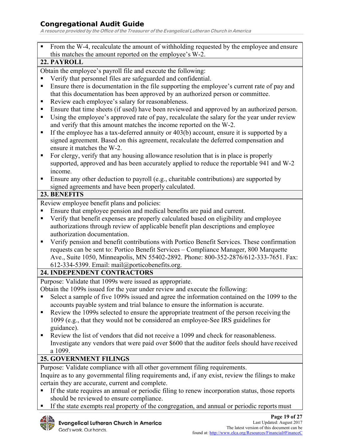**A resource provided by the Office of the Treasurer of the Evangelical Lutheran Church in America**

 From the W-4, recalculate the amount of withholding requested by the employee and ensure this matches the amount reported on the employee's W-2.

#### **22. PAYROLL**

Obtain the employee's payroll file and execute the following:

- Verify that personnel files are safeguarded and confidential.
- Ensure there is documentation in the file supporting the employee's current rate of pay and that this documentation has been approved by an authorized person or committee.
- Review each employee's salary for reasonableness.
- Ensure that time sheets (if used) have been reviewed and approved by an authorized person.
- Using the employee's approved rate of pay, recalculate the salary for the year under review and verify that this amount matches the income reported on the W-2.
- If the employee has a tax-deferred annuity or 403(b) account, ensure it is supported by a signed agreement. Based on this agreement, recalculate the deferred compensation and ensure it matches the W-2.
- For clergy, verify that any housing allowance resolution that is in place is properly supported, approved and has been accurately applied to reduce the reportable 941 and W-2 income.
- **Ensure any other deduction to payroll (e.g., charitable contributions) are supported by** signed agreements and have been properly calculated.

#### **23. BENEFITS**

Review employee benefit plans and policies:

- Ensure that employee pension and medical benefits are paid and current.
- Verify that benefit expenses are properly calculated based on eligibility and employee authorizations through review of applicable benefit plan descriptions and employee authorization documentation.
- Verify pension and benefit contributions with Portico Benefit Services. These confirmation requests can be sent to: Portico Benefit Services – Compliance Manager, 800 Marquette Ave., Suite 1050, Minneapolis, MN 55402-2892. Phone: 800-352-2876/612-333-7651. Fax: 612-334-5399. Email: mail@porticobenefits.org.

#### **24. INDEPENDENT CONTRACTORS**

Purpose: Validate that 1099s were issued as appropriate.

Obtain the 1099s issued for the year under review and execute the following:

- Select a sample of five 1099s issued and agree the information contained on the 1099 to the accounts payable system and trial balance to ensure the information is accurate.
- Review the 1099s selected to ensure the appropriate treatment of the person receiving the 1099 (e.g., that they would not be considered an employee-See IRS guidelines for guidance).
- Review the list of vendors that did not receive a 1099 and check for reasonableness. Investigate any vendors that were paid over \$600 that the auditor feels should have received a 1099.

#### **25. GOVERNMENT FILINGS**

Purpose: Validate compliance with all other government filing requirements.

Inquire as to any governmental filing requirements and, if any exist, review the filings to make certain they are accurate, current and complete.

- If the state requires an annual or periodic filing to renew incorporation status, those reports should be reviewed to ensure compliance.
- If the state exempts real property of the congregation, and annual or periodic reports must

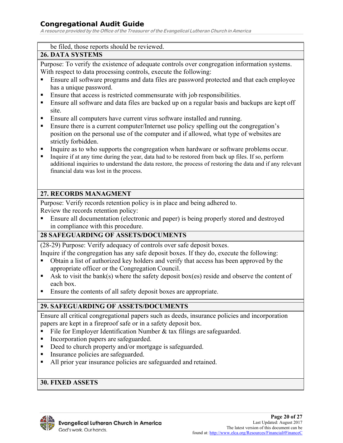**A resource provided by the Office of the Treasurer of the Evangelical Lutheran Church in America**

#### be filed, those reports should be reviewed.

#### **26. DATA SYSTEMS**

Purpose: To verify the existence of adequate controls over congregation information systems. With respect to data processing controls, execute the following:

- Ensure all software programs and data files are password protected and that each employee has a unique password.
- Ensure that access is restricted commensurate with job responsibilities.
- Ensure all software and data files are backed up on a regular basis and backups are kept off site.
- **Ensure all computers have current virus software installed and running.**
- Ensure there is a current computer/Internet use policy spelling out the congregation's position on the personal use of the computer and if allowed, what type of websites are strictly forbidden.
- Inquire as to who supports the congregation when hardware or software problems occur.
- Inquire if at any time during the year, data had to be restored from back up files. If so, perform additional inquiries to understand the data restore, the process of restoring the data and if any relevant financial data was lost in the process.

#### **27. RECORDS MANAGMENT**

Purpose: Verify records retention policy is in place and being adhered to.

Review the records retention policy:

 Ensure all documentation (electronic and paper) is being properly stored and destroyed in compliance with this procedure.

#### **28 SAFEGUARDING OF ASSETS/DOCUMENTS**

(28-29) Purpose: Verify adequacy of controls over safe deposit boxes.

Inquire if the congregation has any safe deposit boxes. If they do, execute the following:

- Obtain a list of authorized key holders and verify that access has been approved by the appropriate officer or the Congregation Council.
- Ask to visit the bank(s) where the safety deposit box(es) reside and observe the content of each box.
- Ensure the contents of all safety deposit boxes are appropriate.

# **29. SAFEGUARDING OF ASSETS/DOCUMENTS**

Ensure all critical congregational papers such as deeds, insurance policies and incorporation papers are kept in a fireproof safe or in a safety deposit box.

- File for Employer Identification Number & tax filings are safeguarded.
- Incorporation papers are safeguarded.
- Deed to church property and/or mortgage is safeguarded.
- Insurance policies are safeguarded.
- All prior year insurance policies are safeguarded and retained.

#### **30. FIXED ASSETS**

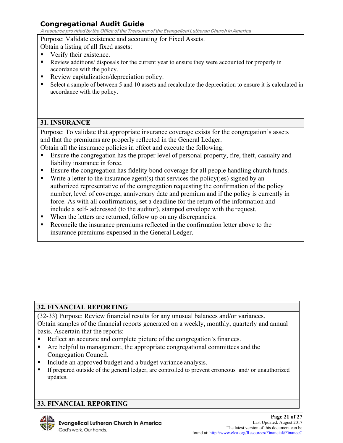**A resource provided by the Office of the Treasurer of the Evangelical Lutheran Church in America**

Purpose: Validate existence and accounting for Fixed Assets.

Obtain a listing of all fixed assets:

- Verify their existence.
- Review additions/ disposals for the current year to ensure they were accounted for properly in accordance with the policy.
- Review capitalization/depreciation policy.
- Select a sample of between 5 and 10 assets and recalculate the depreciation to ensure it is calculated in accordance with the policy.

## **31. INSURANCE**

Purpose: To validate that appropriate insurance coverage exists for the congregation's assets and that the premiums are properly reflected in the General Ledger.

Obtain all the insurance policies in effect and execute the following:

- Ensure the congregation has the proper level of personal property, fire, theft, casualty and liability insurance in force.
- Ensure the congregation has fidelity bond coverage for all people handling church funds.
- Write a letter to the insurance agent(s) that services the policy(ies) signed by an authorized representative of the congregation requesting the confirmation of the policy number, level of coverage, anniversary date and premium and if the policy is currently in force. As with all confirmations, set a deadline for the return of the information and include a self- addressed (to the auditor), stamped envelope with the request.
- When the letters are returned, follow up on any discrepancies.
- Reconcile the insurance premiums reflected in the confirmation letter above to the insurance premiums expensed in the General Ledger.

# **32. FINANCIAL REPORTING**

(32-33) Purpose: Review financial results for any unusual balances and/or variances. Obtain samples of the financial reports generated on a weekly, monthly, quarterly and annual basis. Ascertain that the reports:

- Reflect an accurate and complete picture of the congregation's finances.
- Are helpful to management, the appropriate congregational committees and the Congregation Council.
- **Include an approved budget and a budget variance analysis.**
- If prepared outside of the general ledger, are controlled to prevent erroneous and/ or unauthorized updates.

# **33. FINANCIAL REPORTING**

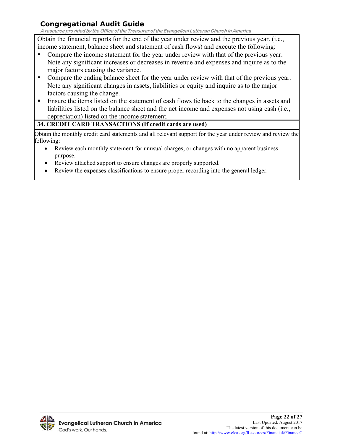**A resource provided by the Office of the Treasurer of the Evangelical Lutheran Church in America**

Obtain the financial reports for the end of the year under review and the previous year. (i.e., income statement, balance sheet and statement of cash flows) and execute the following:

- Compare the income statement for the year under review with that of the previous year. Note any significant increases or decreases in revenue and expenses and inquire as to the major factors causing the variance.
- **Compare the ending balance sheet for the year under review with that of the previous year.** Note any significant changes in assets, liabilities or equity and inquire as to the major factors causing the change.
- **Ensure the items listed on the statement of cash flows tie back to the changes in assets and** liabilities listed on the balance sheet and the net income and expenses not using cash (i.e., depreciation) listed on the income statement.

## **34. CREDIT CARD TRANSACTIONS (If credit cards are used)**

Obtain the monthly credit card statements and all relevant support for the year under review and review the following:

- Review each monthly statement for unusual charges, or changes with no apparent business purpose.
- Review attached support to ensure changes are properly supported.
- Review the expenses classifications to ensure proper recording into the general ledger.

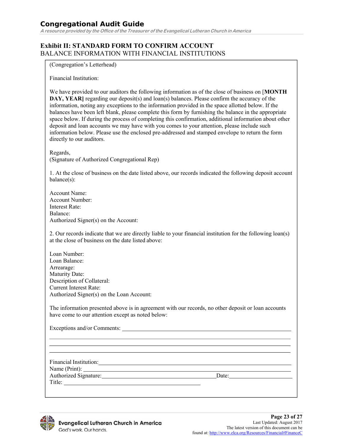**A resource provided by the Office of the Treasurer of the Evangelical Lutheran Church in America**

#### **Exhibit II: STANDARD FORM TO CONFIRM ACCOUNT**  BALANCE INFORMATION WITH FINANCIAL INSTITUTIONS

(Congregation's Letterhead)

Financial Institution:

We have provided to our auditors the following information as of the close of business on [**MONTH DAY, YEAR**] regarding our deposit(s) and loan(s) balances. Please confirm the accuracy of the information, noting any exceptions to the information provided in the space allotted below. If the balances have been left blank, please complete this form by furnishing the balance in the appropriate space below. If during the process of completing this confirmation, additional information about other deposit and loan accounts we may have with you comes to your attention, please include such information below. Please use the enclosed pre-addressed and stamped envelope to return the form directly to our auditors.

Regards, (Signature of Authorized Congregational Rep)

1. At the close of business on the date listed above, our records indicated the following deposit account balance(s):

Account Name: Account Number: Interest Rate: Balance: Authorized Signer(s) on the Account:

2. Our records indicate that we are directly liable to your financial institution for the following loan(s) at the close of business on the date listed above:

Loan Number: Loan Balance: Arrearage: Maturity Date: Description of Collateral: Current Interest Rate: Authorized Signer(s) on the Loan Account:

The information presented above is in agreement with our records, no other deposit or loan accounts have come to our attention except as noted below:

Exceptions and/or Comments:

Financial Institution:

Name (Print): Authorized Signature: Date: Date: Title:

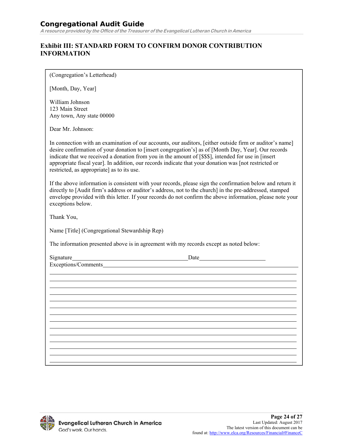#### **Exhibit III: STANDARD FORM TO CONFIRM DONOR CONTRIBUTION INFORMATION**

(Congregation's Letterhead)

[Month, Day, Year]

William Johnson 123 Main Street Any town, Any state 00000

Dear Mr. Johnson:

In connection with an examination of our accounts, our auditors, [either outside firm or auditor's name] desire confirmation of your donation to [insert congregation's] as of [Month Day, Year]. Our records indicate that we received a donation from you in the amount of [\$\$\$], intended for use in [insert appropriate fiscal year]. In addition, our records indicate that your donation was [not restricted or restricted, as appropriate] as to its use.

If the above information is consistent with your records, please sign the confirmation below and return it directly to [Audit firm's address or auditor's address, not to the church] in the pre-addressed, stamped envelope provided with this letter. If your records do not confirm the above information, please note your exceptions below.

Thank You,

Name [Title] (Congregational Stewardship Rep)

The information presented above is in agreement with my records except as noted below:

Signature Date

Exceptions/Comments

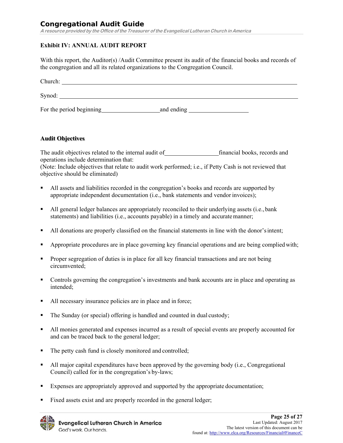**A resource provided by the Office of the Treasurer of the Evangelical Lutheran Church in America**

#### **Exhibit IV: ANNUAL AUDIT REPORT**

With this report, the Auditor(s) /Audit Committee present its audit of the financial books and records of the congregation and all its related organizations to the Congregation Council.

| Church:                  |            |
|--------------------------|------------|
| Synod:                   |            |
| For the period beginning | and ending |

#### **Audit Objectives**

The audit objectives related to the internal audit of financial books, records and operations include determination that:

(Note: Include objectives that relate to audit work performed; i.e., if Petty Cash is not reviewed that objective should be eliminated)

- All assets and liabilities recorded in the congregation's books and records are supported by appropriate independent documentation (i.e., bank statements and vendor invoices);
- All general ledger balances are appropriately reconciled to their underlying assets (i.e., bank statements) and liabilities (i.e., accounts payable) in a timely and accurate manner;
- All donations are properly classified on the financial statements in line with the donor's intent;
- Appropriate procedures are in place governing key financial operations and are being complied with;
- **Proper segregation of duties is in place for all key financial transactions and are not being** circumvented;
- Controls governing the congregation's investments and bank accounts are in place and operating as intended;
- All necessary insurance policies are in place and in force;
- The Sunday (or special) offering is handled and counted in dual custody;
- All monies generated and expenses incurred as a result of special events are properly accounted for and can be traced back to the general ledger;
- The petty cash fund is closely monitored and controlled;
- All major capital expenditures have been approved by the governing body (i.e., Congregational Council) called for in the congregation's by-laws;
- Expenses are appropriately approved and supported by the appropriate documentation;
- Fixed assets exist and are properly recorded in the general ledger;

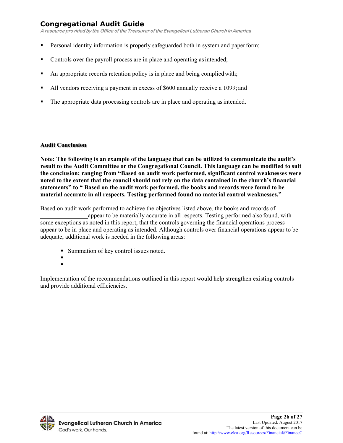**A resource provided by the Office of the Treasurer of the Evangelical Lutheran Church in America**

- Personal identity information is properly safeguarded both in system and paper form;
- Controls over the payroll process are in place and operating as intended;
- An appropriate records retention policy is in place and being complied with;
- All vendors receiving a payment in excess of \$600 annually receive a 1099; and
- The appropriate data processing controls are in place and operating as intended.

#### **Audit Conclusion**

**Note: The following is an example of the language that can be utilized to communicate the audit's result to the Audit Committee or the Congregational Council. This language can be modified to suit the conclusion; ranging from "Based on audit work performed, significant control weaknesses were noted to the extent that the council should not rely on the data contained in the church's financial statements" to " Based on the audit work performed, the books and records were found to be material accurate in all respects. Testing performed found no material control weaknesses."** 

Based on audit work performed to achieve the objectives listed above, the books and records of appear to be materially accurate in all respects. Testing performed also found, with some exceptions as noted in this report, that the controls governing the financial operations process appear to be in place and operating as intended. Although controls over financial operations appear to be adequate, additional work is needed in the following areas:

- Summation of key control issues noted.
- $\blacksquare$  $\mathbf{r}$

Implementation of the recommendations outlined in this report would help strengthen existing controls and provide additional efficiencies.